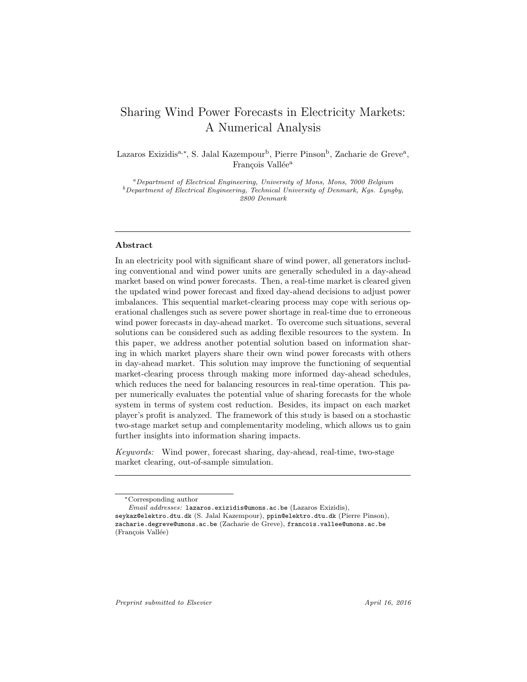# Sharing Wind Power Forecasts in Electricity Markets: A Numerical Analysis

Lazaros Exizidis<sup>a,∗</sup>, S. Jalal Kazempour<sup>b</sup>, Pierre Pinson<sup>b</sup>, Zacharie de Greve<sup>a</sup>, François Vallée<sup>a</sup>

 $a<sup>a</sup> Department of Electrical Engineering, University of Mons, Mons, 7000 Belgium$  $^{b}$  Department of Electrical Engineering, Technical University of Denmark, Kgs. Lyngby, 2800 Denmark

## Abstract

In an electricity pool with significant share of wind power, all generators including conventional and wind power units are generally scheduled in a day-ahead market based on wind power forecasts. Then, a real-time market is cleared given the updated wind power forecast and fixed day-ahead decisions to adjust power imbalances. This sequential market-clearing process may cope with serious operational challenges such as severe power shortage in real-time due to erroneous wind power forecasts in day-ahead market. To overcome such situations, several solutions can be considered such as adding flexible resources to the system. In this paper, we address another potential solution based on information sharing in which market players share their own wind power forecasts with others in day-ahead market. This solution may improve the functioning of sequential market-clearing process through making more informed day-ahead schedules, which reduces the need for balancing resources in real-time operation. This paper numerically evaluates the potential value of sharing forecasts for the whole system in terms of system cost reduction. Besides, its impact on each market player's profit is analyzed. The framework of this study is based on a stochastic two-stage market setup and complementarity modeling, which allows us to gain further insights into information sharing impacts.

Keywords: Wind power, forecast sharing, day-ahead, real-time, two-stage market clearing, out-of-sample simulation.

<sup>∗</sup>Corresponding author

Email addresses: lazaros.exizidis@umons.ac.be (Lazaros Exizidis),

seykaz@elektro.dtu.dk (S. Jalal Kazempour), ppin@elektro.dtu.dk (Pierre Pinson), zacharie.degreve@umons.ac.be (Zacharie de Greve), francois.vallee@umons.ac.be (François Vallée)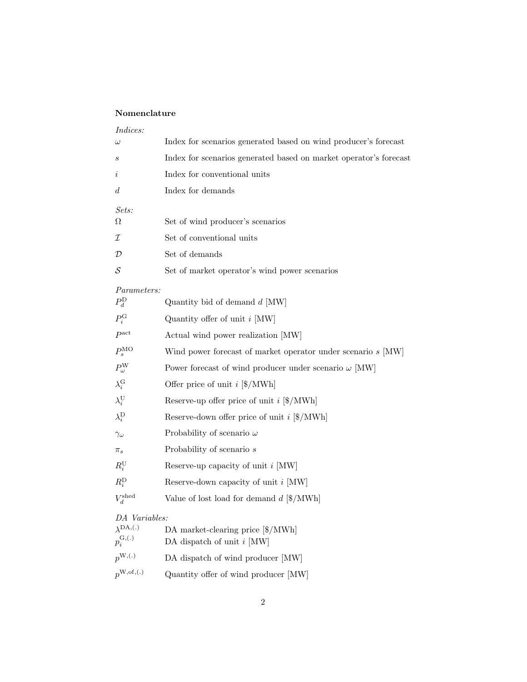# Nomenclature

| <i>Indices:</i><br>$\omega$ | Index for scenarios generated based on wind producer's forecast           |
|-----------------------------|---------------------------------------------------------------------------|
|                             | Index for scenarios generated based on market operator's forecast         |
| S                           |                                                                           |
| i                           | Index for conventional units                                              |
| $\boldsymbol{d}$            | Index for demands                                                         |
| Sets:                       |                                                                           |
| Ω                           | Set of wind producer's scenarios                                          |
| I                           | Set of conventional units                                                 |
| D                           | Set of demands                                                            |
| $\mathcal{S}_{0}$           | Set of market operator's wind power scenarios                             |
| <i>Parameters:</i>          |                                                                           |
| $P_d^{\rm D}$               | Quantity bid of demand $d$ [MW]                                           |
| $P_i^{\rm G}$               | Quantity offer of unit $i$ [MW]                                           |
| $P^{\rm act}$               | Actual wind power realization [MW]                                        |
| $P_s^{\rm MO}$              | Wind power forecast of market operator under scenario $s$ [MW]            |
| $P^{\rm W}_{\omega}$        | Power forecast of wind producer under scenario $\omega$ [MW]              |
| $\lambda_i^{\rm G}$         | Offer price of unit $i$ [\$/MWh]                                          |
| $\lambda_i^{\rm U}$         | Reserve-up offer price of unit $i$ [\$/MWh]                               |
| $\lambda_i^{\rm D}$         | Reserve-down offer price of unit $i$ [\$/MWh]                             |
| $\gamma_\omega$             | Probability of scenario $\omega$                                          |
| $\pi_s$                     | Probability of scenario $s$                                               |
| $R_i^{\rm U}$               | Reserve-up capacity of unit $i$ [MW]                                      |
| $R_i^{\rm D}$               | Reserve-down capacity of unit $i$ [MW]                                    |
| $V_d^{\text{shed}}$         | Value of lost load for demand $d \left[ \frac{6}{3} / \text{MWh} \right]$ |
| DA Variables:               |                                                                           |
| $\lambda^{\text{DA},(.)}$   | DA market-clearing price [\$/MWh]                                         |
| $p_i^{\text{G},(.)}$        | DA dispatch of unit $i$ [MW]                                              |
| $p^{\mathrm{W},(.)}$        | DA dispatch of wind producer [MW]                                         |
| $p^{W,of,(.)}$              | Quantity offer of wind producer [MW]                                      |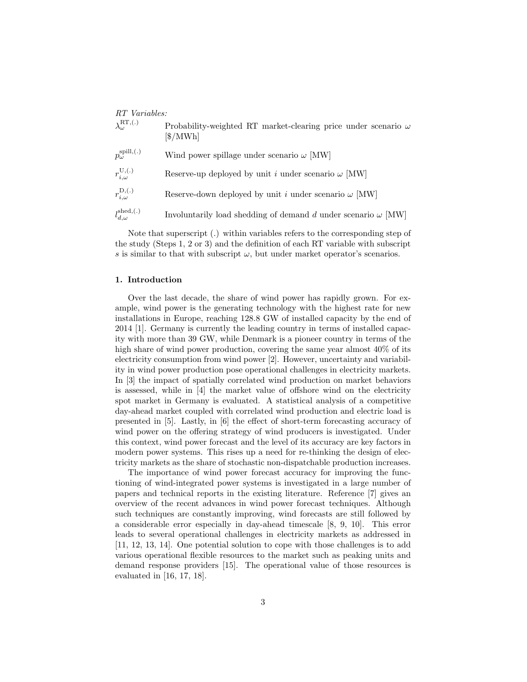| RT Variables: |  |
|---------------|--|
|               |  |

| $\lambda_\omega^{\text{RT},(.)}$   | Probability-weighted RT market-clearing price under scenario $\omega$<br>$[\frac{$}{\text{W}}]$ |
|------------------------------------|-------------------------------------------------------------------------------------------------|
| $p_{\omega}^{\text{spill},(.)}$    | Wind power spillage under scenario $\omega$ [MW]                                                |
| $r_{i,\omega}^{\mathrm{U},(.)}$    | Reserve-up deployed by unit i under scenario $\omega$ [MW]                                      |
| $r_{i,\omega}^{\mathrm{D},(.)}$    | Reserve-down deployed by unit i under scenario $\omega$ [MW]                                    |
| $l_{d,\omega}^{\mathrm{shed},(.)}$ | Involuntarily load shedding of demand d under scenario $\omega$ [MW]                            |

Note that superscript (.) within variables refers to the corresponding step of the study (Steps 1, 2 or 3) and the definition of each RT variable with subscript s is similar to that with subscript  $\omega$ , but under market operator's scenarios.

## 1. Introduction

Over the last decade, the share of wind power has rapidly grown. For example, wind power is the generating technology with the highest rate for new installations in Europe, reaching 128.8 GW of installed capacity by the end of 2014 [1]. Germany is currently the leading country in terms of installed capacity with more than 39 GW, while Denmark is a pioneer country in terms of the high share of wind power production, covering the same year almost 40% of its electricity consumption from wind power [2]. However, uncertainty and variability in wind power production pose operational challenges in electricity markets. In [3] the impact of spatially correlated wind production on market behaviors is assessed, while in [4] the market value of offshore wind on the electricity spot market in Germany is evaluated. A statistical analysis of a competitive day-ahead market coupled with correlated wind production and electric load is presented in [5]. Lastly, in [6] the effect of short-term forecasting accuracy of wind power on the offering strategy of wind producers is investigated. Under this context, wind power forecast and the level of its accuracy are key factors in modern power systems. This rises up a need for re-thinking the design of electricity markets as the share of stochastic non-dispatchable production increases.

The importance of wind power forecast accuracy for improving the functioning of wind-integrated power systems is investigated in a large number of papers and technical reports in the existing literature. Reference [7] gives an overview of the recent advances in wind power forecast techniques. Although such techniques are constantly improving, wind forecasts are still followed by a considerable error especially in day-ahead timescale [8, 9, 10]. This error leads to several operational challenges in electricity markets as addressed in [11, 12, 13, 14]. One potential solution to cope with those challenges is to add various operational flexible resources to the market such as peaking units and demand response providers [15]. The operational value of those resources is evaluated in [16, 17, 18].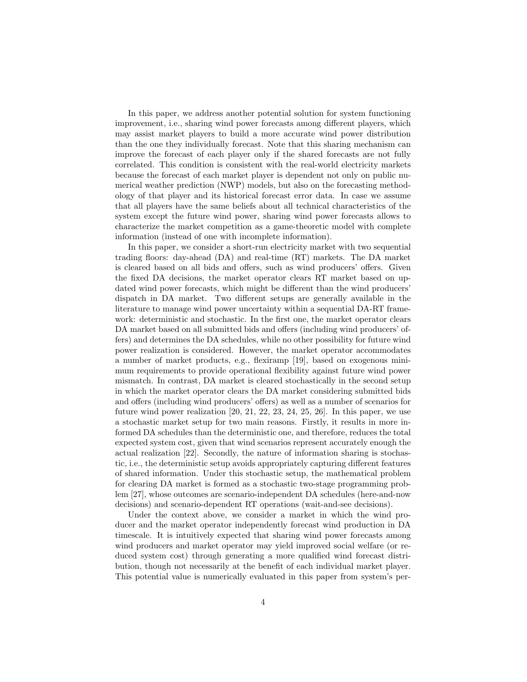In this paper, we address another potential solution for system functioning improvement, i.e., sharing wind power forecasts among different players, which may assist market players to build a more accurate wind power distribution than the one they individually forecast. Note that this sharing mechanism can improve the forecast of each player only if the shared forecasts are not fully correlated. This condition is consistent with the real-world electricity markets because the forecast of each market player is dependent not only on public numerical weather prediction (NWP) models, but also on the forecasting methodology of that player and its historical forecast error data. In case we assume that all players have the same beliefs about all technical characteristics of the system except the future wind power, sharing wind power forecasts allows to characterize the market competition as a game-theoretic model with complete information (instead of one with incomplete information).

In this paper, we consider a short-run electricity market with two sequential trading floors: day-ahead (DA) and real-time (RT) markets. The DA market is cleared based on all bids and offers, such as wind producers' offers. Given the fixed DA decisions, the market operator clears RT market based on updated wind power forecasts, which might be different than the wind producers' dispatch in DA market. Two different setups are generally available in the literature to manage wind power uncertainty within a sequential DA-RT framework: deterministic and stochastic. In the first one, the market operator clears DA market based on all submitted bids and offers (including wind producers' offers) and determines the DA schedules, while no other possibility for future wind power realization is considered. However, the market operator accommodates a number of market products, e.g., flexiramp [19], based on exogenous minimum requirements to provide operational flexibility against future wind power mismatch. In contrast, DA market is cleared stochastically in the second setup in which the market operator clears the DA market considering submitted bids and offers (including wind producers' offers) as well as a number of scenarios for future wind power realization [20, 21, 22, 23, 24, 25, 26]. In this paper, we use a stochastic market setup for two main reasons. Firstly, it results in more informed DA schedules than the deterministic one, and therefore, reduces the total expected system cost, given that wind scenarios represent accurately enough the actual realization [22]. Secondly, the nature of information sharing is stochastic, i.e., the deterministic setup avoids appropriately capturing different features of shared information. Under this stochastic setup, the mathematical problem for clearing DA market is formed as a stochastic two-stage programming problem [27], whose outcomes are scenario-independent DA schedules (here-and-now decisions) and scenario-dependent RT operations (wait-and-see decisions).

Under the context above, we consider a market in which the wind producer and the market operator independently forecast wind production in DA timescale. It is intuitively expected that sharing wind power forecasts among wind producers and market operator may yield improved social welfare (or reduced system cost) through generating a more qualified wind forecast distribution, though not necessarily at the benefit of each individual market player. This potential value is numerically evaluated in this paper from system's per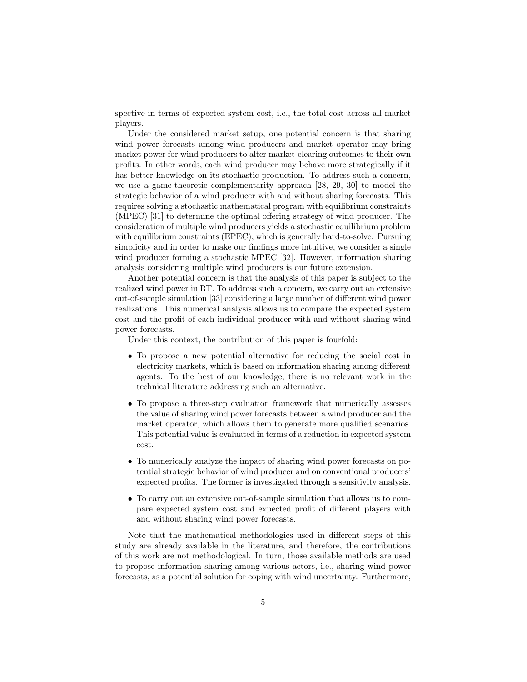spective in terms of expected system cost, i.e., the total cost across all market players.

Under the considered market setup, one potential concern is that sharing wind power forecasts among wind producers and market operator may bring market power for wind producers to alter market-clearing outcomes to their own profits. In other words, each wind producer may behave more strategically if it has better knowledge on its stochastic production. To address such a concern, we use a game-theoretic complementarity approach [28, 29, 30] to model the strategic behavior of a wind producer with and without sharing forecasts. This requires solving a stochastic mathematical program with equilibrium constraints (MPEC) [31] to determine the optimal offering strategy of wind producer. The consideration of multiple wind producers yields a stochastic equilibrium problem with equilibrium constraints (EPEC), which is generally hard-to-solve. Pursuing simplicity and in order to make our findings more intuitive, we consider a single wind producer forming a stochastic MPEC [32]. However, information sharing analysis considering multiple wind producers is our future extension.

Another potential concern is that the analysis of this paper is subject to the realized wind power in RT. To address such a concern, we carry out an extensive out-of-sample simulation [33] considering a large number of different wind power realizations. This numerical analysis allows us to compare the expected system cost and the profit of each individual producer with and without sharing wind power forecasts.

Under this context, the contribution of this paper is fourfold:

- To propose a new potential alternative for reducing the social cost in electricity markets, which is based on information sharing among different agents. To the best of our knowledge, there is no relevant work in the technical literature addressing such an alternative.
- To propose a three-step evaluation framework that numerically assesses the value of sharing wind power forecasts between a wind producer and the market operator, which allows them to generate more qualified scenarios. This potential value is evaluated in terms of a reduction in expected system cost.
- To numerically analyze the impact of sharing wind power forecasts on potential strategic behavior of wind producer and on conventional producers' expected profits. The former is investigated through a sensitivity analysis.
- To carry out an extensive out-of-sample simulation that allows us to compare expected system cost and expected profit of different players with and without sharing wind power forecasts.

Note that the mathematical methodologies used in different steps of this study are already available in the literature, and therefore, the contributions of this work are not methodological. In turn, those available methods are used to propose information sharing among various actors, i.e., sharing wind power forecasts, as a potential solution for coping with wind uncertainty. Furthermore,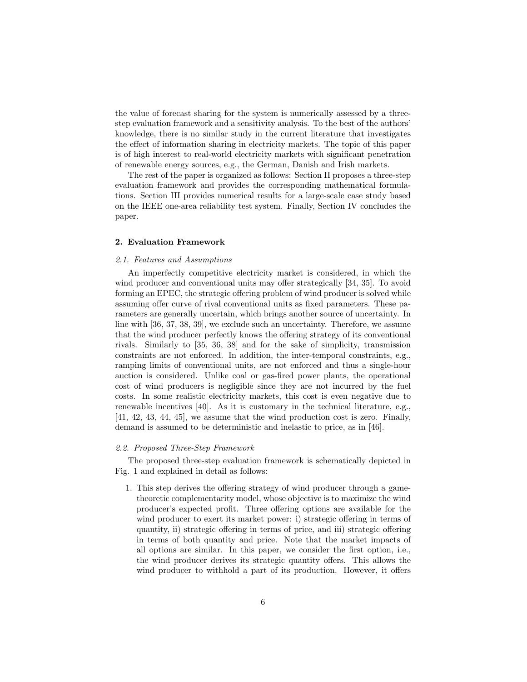the value of forecast sharing for the system is numerically assessed by a threestep evaluation framework and a sensitivity analysis. To the best of the authors' knowledge, there is no similar study in the current literature that investigates the effect of information sharing in electricity markets. The topic of this paper is of high interest to real-world electricity markets with significant penetration of renewable energy sources, e.g., the German, Danish and Irish markets.

The rest of the paper is organized as follows: Section II proposes a three-step evaluation framework and provides the corresponding mathematical formulations. Section III provides numerical results for a large-scale case study based on the IEEE one-area reliability test system. Finally, Section IV concludes the paper.

## 2. Evaluation Framework

## 2.1. Features and Assumptions

An imperfectly competitive electricity market is considered, in which the wind producer and conventional units may offer strategically [34, 35]. To avoid forming an EPEC, the strategic offering problem of wind producer is solved while assuming offer curve of rival conventional units as fixed parameters. These parameters are generally uncertain, which brings another source of uncertainty. In line with [36, 37, 38, 39], we exclude such an uncertainty. Therefore, we assume that the wind producer perfectly knows the offering strategy of its conventional rivals. Similarly to [35, 36, 38] and for the sake of simplicity, transmission constraints are not enforced. In addition, the inter-temporal constraints, e.g., ramping limits of conventional units, are not enforced and thus a single-hour auction is considered. Unlike coal or gas-fired power plants, the operational cost of wind producers is negligible since they are not incurred by the fuel costs. In some realistic electricity markets, this cost is even negative due to renewable incentives [40]. As it is customary in the technical literature, e.g., [41, 42, 43, 44, 45], we assume that the wind production cost is zero. Finally, demand is assumed to be deterministic and inelastic to price, as in [46].

### 2.2. Proposed Three-Step Framework

The proposed three-step evaluation framework is schematically depicted in Fig. 1 and explained in detail as follows:

1. This step derives the offering strategy of wind producer through a gametheoretic complementarity model, whose objective is to maximize the wind producer's expected profit. Three offering options are available for the wind producer to exert its market power: i) strategic offering in terms of quantity, ii) strategic offering in terms of price, and iii) strategic offering in terms of both quantity and price. Note that the market impacts of all options are similar. In this paper, we consider the first option, i.e., the wind producer derives its strategic quantity offers. This allows the wind producer to withhold a part of its production. However, it offers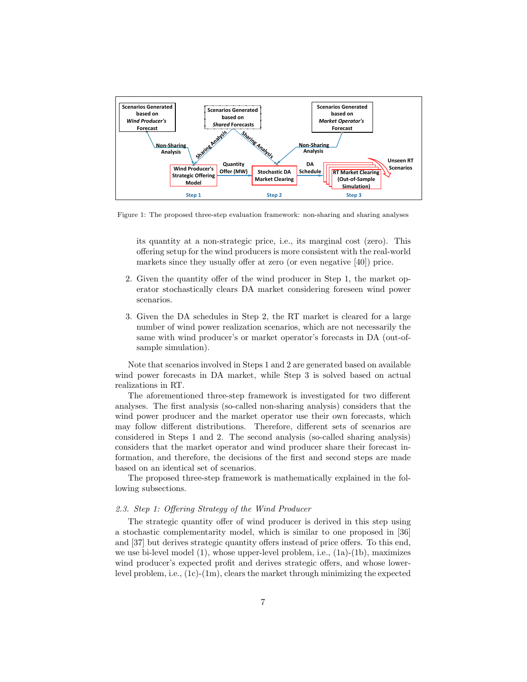

Figure 1: The proposed three-step evaluation framework: non-sharing and sharing analyses

its quantity at a non-strategic price, i.e., its marginal cost (zero). This offering setup for the wind producers is more consistent with the real-world markets since they usually offer at zero (or even negative [40]) price.

- 2. Given the quantity offer of the wind producer in Step 1, the market operator stochastically clears DA market considering foreseen wind power scenarios.
- 3. Given the DA schedules in Step 2, the RT market is cleared for a large number of wind power realization scenarios, which are not necessarily the same with wind producer's or market operator's forecasts in DA (out-ofsample simulation).

Note that scenarios involved in Steps 1 and 2 are generated based on available wind power forecasts in DA market, while Step 3 is solved based on actual realizations in RT.

The aforementioned three-step framework is investigated for two different analyses. The first analysis (so-called non-sharing analysis) considers that the wind power producer and the market operator use their own forecasts, which may follow different distributions. Therefore, different sets of scenarios are considered in Steps 1 and 2. The second analysis (so-called sharing analysis) considers that the market operator and wind producer share their forecast information, and therefore, the decisions of the first and second steps are made based on an identical set of scenarios.

The proposed three-step framework is mathematically explained in the following subsections.

## 2.3. Step 1: Offering Strategy of the Wind Producer

The strategic quantity offer of wind producer is derived in this step using a stochastic complementarity model, which is similar to one proposed in [36] and [37] but derives strategic quantity offers instead of price offers. To this end, we use bi-level model (1), whose upper-level problem, i.e., (1a)-(1b), maximizes wind producer's expected profit and derives strategic offers, and whose lowerlevel problem, i.e., (1c)-(1m), clears the market through minimizing the expected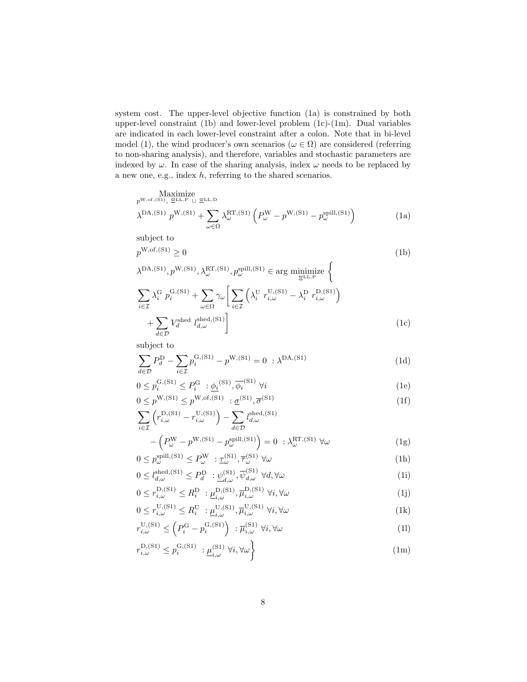system cost. The upper-level objective function (1a) is constrained by both upper-level constraint (1b) and lower-level problem (1c)-(1m). Dual variables are indicated in each lower-level constraint after a colon. Note that in bi-level model (1), the wind producer's own scenarios ( $\omega \in \Omega$ ) are considered (referring to non-sharing analysis), and therefore, variables and stochastic parameters are indexed by  $\omega$ . In case of the sharing analysis, index  $\omega$  needs to be replaced by a new one, e.g., index h, referring to the shared scenarios.

$$
\begin{aligned}\n\underset{p^{\mathrm{W, of, (S1)}}, \ \Sigma^{\mathrm{LL}, \mathrm{P}} \ \cup \ \Xi^{\mathrm{LL}, \mathrm{D}} \\
\lambda^{\mathrm{DA, (S1)}} \ p^{\mathrm{W, (S1)}} + \sum_{\omega \in \Omega} \lambda_{\omega}^{\mathrm{RT}, (\mathrm{S1})} \left( P_{\omega}^{\mathrm{W}} - p^{\mathrm{W, (S1)}} - p_{\omega}^{\mathrm{spill, (S1)}} \right)\n\end{aligned} \tag{1a}
$$

subject to

$$
p^{W,of,(S1)} \ge 0
$$
\n
$$
\lambda^{DA,(S1)}, p^{W,(S1)}, \lambda_{\omega}^{RT,(S1)}, p_{\omega}^{spill,(S1)} \in \arg\min_{\Xi^{LL,P}} \left\{ \sum_{i \in \mathcal{I}} \lambda_i^G p_i^{G,(S1)} + \sum_{\omega \in \Omega} \gamma_{\omega} \left[ \sum_{i \in \mathcal{I}} \left( \lambda_i^U r_{i,\omega}^{U,(S1)} - \lambda_i^D r_{i,\omega}^{D,(S1)} \right) + \sum_{d \in \mathcal{D}} V_d^{\text{shed}} l_{d,\omega}^{\text{shed,(S1)}} \right] \tag{1c}
$$

subject to

$$
\sum_{d \in \mathcal{D}} P_d^{\text{D}} - \sum_{i \in \mathcal{I}} p_i^{\text{G},(\text{S1})} - p^{\text{W},(\text{S1})} = 0 \quad \text{A}^{\text{DA},(\text{S1})} \tag{1d}
$$

$$
0 \le p_i^{\mathcal{G},(\mathcal{S}1)} \le P_i^{\mathcal{G}} : \underline{\phi_i}^{(\mathcal{S}1)}, \overline{\phi_i}^{(\mathcal{S}1)} \ \forall i
$$
 (1e)

$$
0 \le p^{\mathcal{W}, \mathcal{S}^{1}} \le p^{\mathcal{W}, \mathsf{of}, \mathcal{S}^{1}} : \underline{\sigma}^{\mathcal{S}^{1}}, \overline{\sigma}^{\mathcal{S}^{1}} \tag{1f}
$$

$$
\sum_{i \in \mathcal{I}} \left( r_{i,\omega}^{\mathcal{D},(\mathcal{S}1)} - r_{i,\omega}^{\mathcal{U},(\mathcal{S}1)} \right) - \sum_{d \in \mathcal{D}} l_{d,\omega}^{\text{shed},(\mathcal{S}1)} \n- \left( P^{\mathcal{W}} - n^{\mathcal{W},(\mathcal{S}1)} - n^{\text{spill},(\mathcal{S}1)} \right) = 0 \cdot \lambda^{\text{RT},(\mathcal{S}1)} \ \forall \omega
$$
\n(10)

$$
-\left(P_{\omega}^{\mathbf{W}} - p^{\mathbf{W},(\mathbf{S1})} - p_{\omega}^{\text{spill},(\mathbf{S1})}\right) = 0 \quad \text{if } \lambda_{\omega}^{\mathbf{RT},(\mathbf{S1})} \quad \forall \omega
$$
\n
$$
\text{as}{\text{spill}}(\mathbf{S1}) < \mathbf{P}_{\omega}^{\mathbf{W}} \quad \text{if } (\mathbf{S1}) \quad \text{if } (\mathbf{S2}) \quad \text{if } (\mathbf{S3}) \quad \text{if } (\mathbf{S4}) \quad \text{if } (\mathbf{S5}) \quad \text{if } (\mathbf{S5}) \quad \text{if } (\mathbf{S6}) \quad \text{if } (\mathbf{S7}) \quad \text{if } (\mathbf{S8}) \quad \text{if } (\mathbf{S8}) \quad \text{if } (\mathbf{S8}) \quad \text{if } (\mathbf{S8}) \quad \text{if } (\mathbf{S8}) \quad \text{if } (\mathbf{S8}) \quad \text{if } (\mathbf{S8}) \quad \text{if } (\mathbf{S8}) \quad \text{if } (\mathbf{S8}) \quad \text{if } (\mathbf{S8}) \quad \text{if } (\mathbf{S8}) \quad \text{if } (\mathbf{S8}) \quad \text{if } (\mathbf{S8}) \quad \text{if } (\mathbf{S8}) \quad \text{if } (\mathbf{S8}) \quad \text{if } (\mathbf{S8}) \quad \text{if } (\mathbf{S8}) \quad \text{if } (\mathbf{S8}) \quad \text{if } (\mathbf{S8}) \quad \text{if } (\mathbf{S8}) \quad \text{if } (\mathbf{S8}) \quad \text{if } (\mathbf{S8}) \quad \text{if } (\mathbf{S8}) \quad \text{if } (\mathbf{S8}) \quad \text{if } (\mathbf{S8}) \quad \text{if } (\mathbf{S8}) \quad \text{if } (\mathbf{S8}) \quad \text{if } (\mathbf{S8}) \quad \text{if } (\mathbf{S8}) \quad \text{if } (\mathbf{S8}) \quad \text{if } (\mathbf{S8}) \quad \text{if } (\mathbf{S8}) \quad \text{if } (\mathbf{S8}) \quad \text{if } (\mathbf{S8}) \quad \text{if } (\mathbf{S8}) \quad \text{if } (\mathbf{S8}) \quad \text{if
$$

$$
0 \le p_{\omega}^{\text{spill},\text{(S1)}} \le P_{\omega}^{\text{W}} : \underline{\tau}_{\omega}^{\text{(S1)}}, \overline{\tau}_{\omega}^{\text{(S1)}} \,\forall \omega \tag{1h}
$$

$$
0 \le l_{d,\omega}^{\text{shed},(\text{S1})} \le P_d^{\text{D}} : \underline{\psi}_{d,\omega}^{(\text{S1})}, \overline{\psi}_{d,\omega}^{(\text{S1})} \ \forall d, \forall \omega
$$
\n(1i)

$$
0 \le r_{i,\omega}^{\mathcal{D},(\mathcal{S}1)} \le R_i^{\mathcal{D}} : \underline{\mu}_{i,\omega}^{\mathcal{D},(\mathcal{S}1)}, \overline{\mu}_{i,\omega}^{\mathcal{D},(\mathcal{S}1)} \,\,\forall i, \forall \omega \tag{1j}
$$

$$
0 \le r_{i,\omega}^{\mathrm{U},(\mathrm{S1})} \le R_i^{\mathrm{U}} : \underline{\mu}_{i,\omega}^{\mathrm{U},(\mathrm{S1})}, \overline{\mu}_{i,\omega}^{\mathrm{U},(\mathrm{S1})} \ \forall i, \forall \omega \tag{1k}
$$

$$
r_{\mu}^{U, \text{(S1)}} < \left(P_{\mu}^{G} - p_{\mu}^{G, \text{(S1)}}\right) \cdot \overline{\mu}_{\mu}^{\text{(S1)}} \forall i, \forall \mu \tag{11}
$$

$$
r_{i,\omega}^{\mathrm{U},\mathrm{(S1)}} \leq \left(P_i^{\mathrm{G}} - p_i^{\mathrm{G},\mathrm{(S1)}}\right) : \overline{\mu}_{i,\omega}^{\mathrm{(S1)}} \,\,\forall i, \forall \omega \tag{1l}
$$

$$
r_{i,\omega}^{\mathcal{D},(\mathcal{S}1)} \le p_i^{\mathcal{G},(\mathcal{S}1)} : \underline{\mu}_{i,\omega}^{(\mathcal{S}1)} \,\forall i, \forall \omega \bigg\} \tag{1m}
$$

$$
S^{(S1)} \le p_i^{G,(S1)} : \underline{\mu}_{i,\omega}^{(S1)} \ \forall i, \forall \omega \bigg\}
$$
 (1)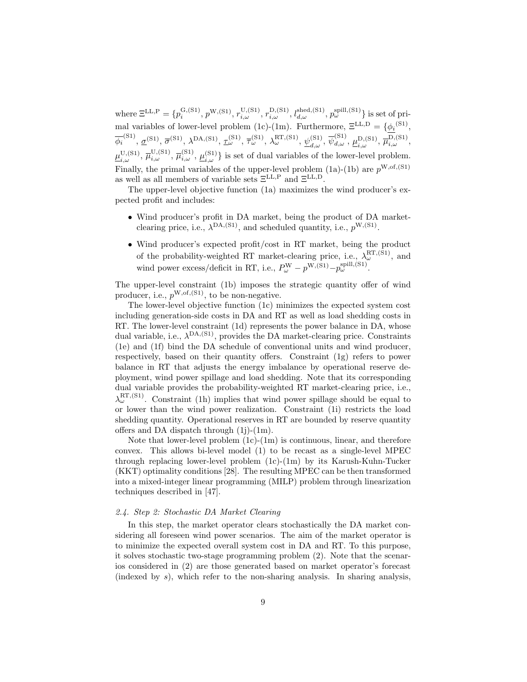$\text{where } \Xi^{\text{LL},\text{P}} = \{p_i^{\text{G},\text{(S1)}}, p^{\text{W},\text{(S1)}}, r_{i,\omega}^{\text{U},\text{(S1)}}, r_{i,\omega}^{\text{D},\text{(S1)}}, l_{d,\omega}^{\text{shell},\text{(S1)}}, p_{\omega}^{\text{spill},\text{(S1)}}\} \text{ is set of pri-}$ mal variables of lower-level problem (1c)-(1m). Furthermore,  $\Xi^{\text{LL,D}} = {\phi_i}^{(S1)}$ ,  $\overline{\phi_i}^{\text{(S1)}}, \underline{\sigma}^{\text{(S1)}}, \overline{\sigma}^{\text{(S1)}}, \lambda^{\text{DA},\text{(S1)}}, \underline{\tau}^{\text{(S1)}}_{\omega}, \overline{\tau}^{\text{(S1)}}_{\omega}, \lambda^{\text{RT},\text{(S1)}}_{\omega}, \underline{\psi}^{\text{(S1)}}_{d,\omega}, \overline{\psi}^{\text{(S1)}}_{d,\omega}, \underline{\mu}^{\text{D},\text{(S1)}}_{i,\omega}, \overline{\mu}^{\text{D},\text{(S1)}}_{i,\omega},$  $\mu_{i,\omega}^{U,(S1)}, \overline{\mu}_{i,\omega}^{U,(S1)}, \underline{\mu}_{i,\omega}^{(S1)}, \underline{\mu}_{i,\omega}^{(S1)}\}$  is set of dual variables of the lower-level problem. Finally, the primal variables of the upper-level problem (1a)-(1b) are  $p^{W,of,(S1)}$ as well as all members of variable sets  $E^{LL,P}$  and  $E^{LL,D}$ .

The upper-level objective function (1a) maximizes the wind producer's expected profit and includes:

- Wind producer's profit in DA market, being the product of DA marketclearing price, i.e.,  $\lambda^{DA,(S1)}$ , and scheduled quantity, i.e.,  $p^{W,(S1)}$ .
- Wind producer's expected profit/cost in RT market, being the product of the probability-weighted RT market-clearing price, i.e.,  $\lambda_{\omega}^{RT,(S1)}$ , and wind power excess/deficit in RT, i.e.,  $P_{\omega}^{\rm W} - p^{\rm W,(S1)} - p_{\omega}^{\rm spill,(S1)}$ .

The upper-level constraint (1b) imposes the strategic quantity offer of wind producer, i.e.,  $p^{W,of,(S1)}$ , to be non-negative.

The lower-level objective function (1c) minimizes the expected system cost including generation-side costs in DA and RT as well as load shedding costs in RT. The lower-level constraint (1d) represents the power balance in DA, whose dual variable, i.e.,  $\lambda^{DA,(S1)}$ , provides the DA market-clearing price. Constraints (1e) and (1f) bind the DA schedule of conventional units and wind producer, respectively, based on their quantity offers. Constraint (1g) refers to power balance in RT that adjusts the energy imbalance by operational reserve deployment, wind power spillage and load shedding. Note that its corresponding dual variable provides the probability-weighted RT market-clearing price, i.e.,  $\lambda_{\omega}^{\text{RT},\text{(S1)}}$ . Constraint (1h) implies that wind power spillage should be equal to or lower than the wind power realization. Constraint (1i) restricts the load shedding quantity. Operational reserves in RT are bounded by reserve quantity offers and DA dispatch through  $(1j)-(1m)$ .

Note that lower-level problem  $(1c)-(1m)$  is continuous, linear, and therefore convex. This allows bi-level model (1) to be recast as a single-level MPEC through replacing lower-level problem (1c)-(1m) by its Karush-Kuhn-Tucker (KKT) optimality conditions [28]. The resulting MPEC can be then transformed into a mixed-integer linear programming (MILP) problem through linearization techniques described in [47].

#### 2.4. Step 2: Stochastic DA Market Clearing

In this step, the market operator clears stochastically the DA market considering all foreseen wind power scenarios. The aim of the market operator is to minimize the expected overall system cost in DA and RT. To this purpose, it solves stochastic two-stage programming problem (2). Note that the scenarios considered in (2) are those generated based on market operator's forecast (indexed by  $s$ ), which refer to the non-sharing analysis. In sharing analysis,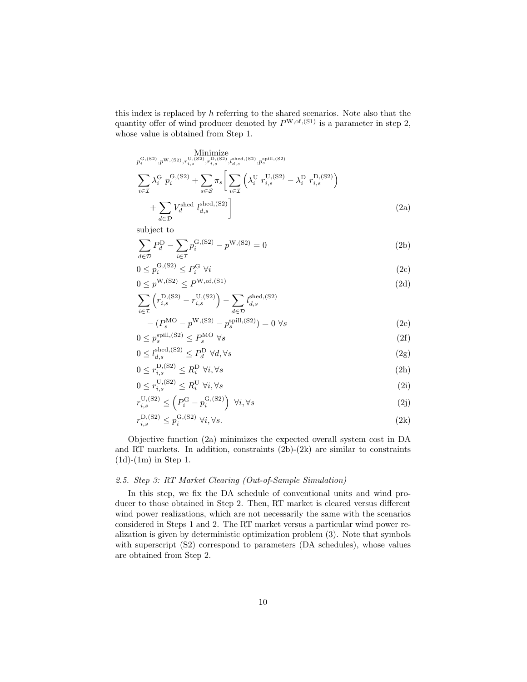this index is replaced by  $h$  referring to the shared scenarios. Note also that the quantity offer of wind producer denoted by  $P^{W,of,(S1)}$  is a parameter in step 2, whose value is obtained from Step 1.

$$
p_i^{\text{G,(S2)},p^{\text{W,(S2)}},r_{i,s}^{\text{U,minimize}};r_{i,s}^{\text{D,(S2)},r_{i,s}^{\text{D,(S2)}}},l_{d,s}^{\text{shell,(S2)}},l_{s}^{\text{spill,(S2)}}}
$$
\n
$$
\sum_{i\in\mathcal{I}} \lambda_i^{\text{G}} p_i^{\text{G,(S2)}} + \sum_{s\in\mathcal{S}} \pi_s \left[ \sum_{i\in\mathcal{I}} \left( \lambda_i^{\text{U}} r_{i,s}^{\text{U,(S2)}} - \lambda_i^{\text{D}} r_{i,s}^{\text{D,(S2)}} \right) + \sum_{d\in\mathcal{D}} V_d^{\text{shed}} l_{d,s}^{\text{shed,(S2)}} \right]
$$
\n(2a)

subject to

$$
\sum_{d \in \mathcal{D}} P_d^{\text{D}} - \sum_{i \in \mathcal{I}} p_i^{\text{G, (S2)}} - p^{\text{W, (S2)}} = 0 \tag{2b}
$$

$$
0 \le p_i^{\mathcal{G},\text{(S2)}} \le P_i^{\mathcal{G}} \ \forall i \tag{2c}
$$

$$
0 \le p^{\mathcal{W}, (\mathbf{S2})} \le P^{\mathcal{W}, \text{of}, (\mathbf{S1})} \tag{2d}
$$

$$
\sum_{i \in \mathcal{I}} \left( r_{i,s}^{\mathcal{D},(\text{S2})} - r_{i,s}^{\mathcal{U},(\text{S2})} \right) - \sum_{d \in \mathcal{D}} l_{d,s}^{\text{shed},(\text{S2})} - \left( P_s^{\mathcal{MO}} - p^{\mathcal{W},(\text{S2})} - p_s^{\text{spill},(\text{S2})} \right) = 0 \ \forall s
$$
\n(2e)

$$
0 \le p_s^{\text{spill},\text{(S2)}} \le P_s^{\text{MO}} \,\,\forall s \tag{2f}
$$

$$
0 \le l_{d,s}^{\text{shed},\text{(S2)}} \le P_d^{\text{D}} \ \forall d, \forall s \tag{2g}
$$

$$
0 \le r_{i,s}^{\mathcal{D},(\mathcal{S}2)} \le R_i^{\mathcal{D}} \ \forall i, \forall s \tag{2h}
$$

$$
0 \le r_{i,s}^{\text{U},\text{(S2)}} \le R_i^{\text{U}} \,\,\forall i, \forall s \tag{2i}
$$

$$
r_{i,s}^{\text{U, (S2)}} \le \left( P_i^{\text{G}} - p_i^{\text{G, (S2)}} \right) \ \forall i, \forall s \tag{2j}
$$

$$
r_{i,s}^{\mathcal{D},\text{(S2)}} \leq p_i^{\mathcal{G},\text{(S2)}} \,\,\forall i,\forall s. \tag{2k}
$$

Objective function (2a) minimizes the expected overall system cost in DA and RT markets. In addition, constraints  $(2b)-(2k)$  are similar to constraints (1d)-(1m) in Step 1.

## 2.5. Step 3: RT Market Clearing (Out-of-Sample Simulation)

In this step, we fix the DA schedule of conventional units and wind producer to those obtained in Step 2. Then, RT market is cleared versus different wind power realizations, which are not necessarily the same with the scenarios considered in Steps 1 and 2. The RT market versus a particular wind power realization is given by deterministic optimization problem (3). Note that symbols with superscript  $(S2)$  correspond to parameters  $(DA \text{ schedules})$ , whose values are obtained from Step 2.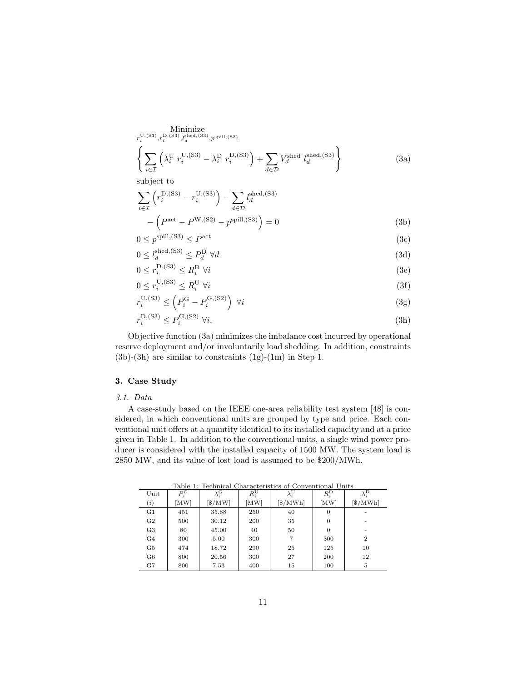$$
\left\{\sum_{i\in\mathcal{I}}\left(\lambda_i^{\mathbf{U}}\ r_i^{\mathbf{U},\text{(S3)}},r_i^{\text{shed},\text{(S3)}}\right)\ + \sum_{d\in\mathcal{D}}V_d^{\text{shed},\text{(S3)}}\right\}\n\tag{3a}
$$

subject to

$$
\sum_{i \in \mathcal{I}} \left( r_i^{\mathcal{D},(\mathcal{S}3)} - r_i^{\mathcal{U},(\mathcal{S}3)} \right) - \sum_{d \in \mathcal{D}} l_d^{\text{shed},(\mathcal{S}3)} - \left( P^{\text{act}} - P^{\mathcal{W},(\mathcal{S}2)} - p^{\text{spill},(\mathcal{S}3)} \right) = 0
$$
\n(3b)

$$
0 \le p^{\text{spill},\text{(S3)}} \le P^{\text{act}} \tag{3c}
$$

$$
0 \le l_d^{\text{shea}, (\text{ss})} \le P_d^{\text{D}} \ \forall d \tag{3d}
$$

$$
0 \le r_i^{\mathcal{D}, \text{(S3)}} \le R_i^{\mathcal{D}} \ \forall i
$$
\n
$$
0 < r^{\mathcal{U}, \text{(S3)}} < B^{\mathcal{U}} \ \forall i
$$
\n
$$
(3e)
$$
\n
$$
(3f)
$$

$$
0 \le r_i^{\mathrm{U},\mathrm{(S3)}} \le R_i^{\mathrm{U}} \ \forall i
$$
\n
$$
r_i^{\mathrm{U},\mathrm{(S3)}} \le \left(P_i^{\mathrm{G}} - P_i^{\mathrm{G},\mathrm{(S2)}}\right) \ \forall i
$$
\n
$$
(3g)
$$

$$
r_i^{\mathcal{D},\text{(S3)}} \le P_i^{\mathcal{G},\text{(S2)}} \ \forall i. \tag{3h}
$$

Objective function (3a) minimizes the imbalance cost incurred by operational reserve deployment and/or involuntarily load shedding. In addition, constraints  $(3b)-(3h)$  are similar to constraints  $(1g)-(1m)$  in Step 1.

# 3. Case Study

## 3.1. Data

A case-study based on the IEEE one-area reliability test system [48] is considered, in which conventional units are grouped by type and price. Each conventional unit offers at a quantity identical to its installed capacity and at a price given in Table 1. In addition to the conventional units, a single wind power producer is considered with the installed capacity of 1500 MW. The system load is 2850 MW, and its value of lost load is assumed to be \$200/MWh.

| $R_i^{\rm D}$<br>Unit<br>(i)<br>[MW]<br>[\$/MW]<br>MW]<br>[\$/MWh]<br>[MW]<br>$\left[\frac{\$}{\mathrm{MWh}}\right]$<br>G1<br>35.88<br>250<br>40<br>451<br>$\overline{0}$<br>G2<br>30.12<br>35<br>200<br>500<br>$\Omega$<br>G <sub>3</sub><br>80<br>45.00<br>50<br>40<br>$\Omega$<br>G4<br>300<br>300<br>300<br>$\overline{2}$<br>5.00<br>7<br>G5<br>290<br>25<br>125<br>474<br>18.72<br>10<br>G <sub>6</sub><br>27<br>800<br>20.56<br>300<br>200<br>12<br>G7<br>5<br>800<br>7.53<br>400<br>15<br>100 | Table E:<br>Technical Characteristics of Conventional Units |                                   |               |                     |  |                                |
|-------------------------------------------------------------------------------------------------------------------------------------------------------------------------------------------------------------------------------------------------------------------------------------------------------------------------------------------------------------------------------------------------------------------------------------------------------------------------------------------------------|-------------------------------------------------------------|-----------------------------------|---------------|---------------------|--|--------------------------------|
|                                                                                                                                                                                                                                                                                                                                                                                                                                                                                                       | $\overline{P}_{i}^{\text{G}}$                               | $\overline{\lambda}_i^{\text{G}}$ | $R_i^{\rm U}$ | $\lambda_i^{\rm U}$ |  | $\overline{\lambda}_i^{\rm D}$ |
|                                                                                                                                                                                                                                                                                                                                                                                                                                                                                                       |                                                             |                                   |               |                     |  |                                |
|                                                                                                                                                                                                                                                                                                                                                                                                                                                                                                       |                                                             |                                   |               |                     |  |                                |
|                                                                                                                                                                                                                                                                                                                                                                                                                                                                                                       |                                                             |                                   |               |                     |  |                                |
|                                                                                                                                                                                                                                                                                                                                                                                                                                                                                                       |                                                             |                                   |               |                     |  |                                |
|                                                                                                                                                                                                                                                                                                                                                                                                                                                                                                       |                                                             |                                   |               |                     |  |                                |
|                                                                                                                                                                                                                                                                                                                                                                                                                                                                                                       |                                                             |                                   |               |                     |  |                                |
|                                                                                                                                                                                                                                                                                                                                                                                                                                                                                                       |                                                             |                                   |               |                     |  |                                |
|                                                                                                                                                                                                                                                                                                                                                                                                                                                                                                       |                                                             |                                   |               |                     |  |                                |

Table 1: Technical Characteristics of Conventional Units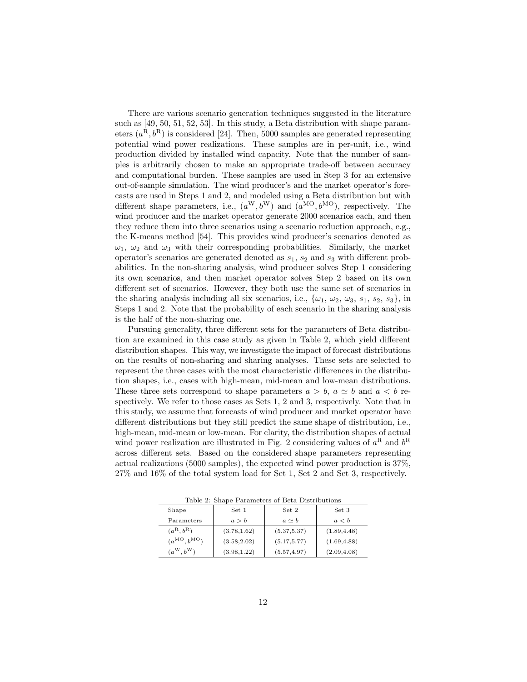There are various scenario generation techniques suggested in the literature such as [49, 50, 51, 52, 53]. In this study, a Beta distribution with shape parameters  $(a^R, b^R)$  is considered [24]. Then, 5000 samples are generated representing potential wind power realizations. These samples are in per-unit, i.e., wind production divided by installed wind capacity. Note that the number of samples is arbitrarily chosen to make an appropriate trade-off between accuracy and computational burden. These samples are used in Step 3 for an extensive out-of-sample simulation. The wind producer's and the market operator's forecasts are used in Steps 1 and 2, and modeled using a Beta distribution but with different shape parameters, i.e.,  $(a^W, b^W)$  and  $(a^{MO}, b^{MO})$ , respectively. The wind producer and the market operator generate 2000 scenarios each, and then they reduce them into three scenarios using a scenario reduction approach, e.g., the K-means method [54]. This provides wind producer's scenarios denoted as  $\omega_1$ ,  $\omega_2$  and  $\omega_3$  with their corresponding probabilities. Similarly, the market operator's scenarios are generated denoted as  $s_1$ ,  $s_2$  and  $s_3$  with different probabilities. In the non-sharing analysis, wind producer solves Step 1 considering its own scenarios, and then market operator solves Step 2 based on its own different set of scenarios. However, they both use the same set of scenarios in the sharing analysis including all six scenarios, i.e.,  $\{\omega_1, \omega_2, \omega_3, s_1, s_2, s_3\}$ , in Steps 1 and 2. Note that the probability of each scenario in the sharing analysis is the half of the non-sharing one.

Pursuing generality, three different sets for the parameters of Beta distribution are examined in this case study as given in Table 2, which yield different distribution shapes. This way, we investigate the impact of forecast distributions on the results of non-sharing and sharing analyses. These sets are selected to represent the three cases with the most characteristic differences in the distribution shapes, i.e., cases with high-mean, mid-mean and low-mean distributions. These three sets correspond to shape parameters  $a > b$ ,  $a \simeq b$  and  $a < b$  respectively. We refer to those cases as Sets 1, 2 and 3, respectively. Note that in this study, we assume that forecasts of wind producer and market operator have different distributions but they still predict the same shape of distribution, i.e., high-mean, mid-mean or low-mean. For clarity, the distribution shapes of actual wind power realization are illustrated in Fig. 2 considering values of  $a<sup>R</sup>$  and  $b<sup>R</sup>$ across different sets. Based on the considered shape parameters representing actual realizations (5000 samples), the expected wind power production is 37%, 27% and 16% of the total system load for Set 1, Set 2 and Set 3, respectively.

|                          | rapid 2. Dhape I arameters of Deta Distributions |              |              |  |  |  |
|--------------------------|--------------------------------------------------|--------------|--------------|--|--|--|
| Shape                    | Set 1                                            | Set 2        | Set 3        |  |  |  |
| Parameters               | a > b                                            | $a \simeq b$ | a < b        |  |  |  |
| $(a^{\rm R}, b^{\rm R})$ | (3.78, 1.62)                                     | (5.37, 5.37) | (1.89, 4.48) |  |  |  |
| $(a^{MO}, b^{MO})$       | (3.58, 2.02)                                     | (5.17, 5.77) | (1.69, 4.88) |  |  |  |
| $(a^{\rm W},b^{\rm W})$  | (3.98, 1.22)                                     | (5.57, 4.97) | (2.09, 4.08) |  |  |  |

Table 2: Shape Parameters of Beta Distributions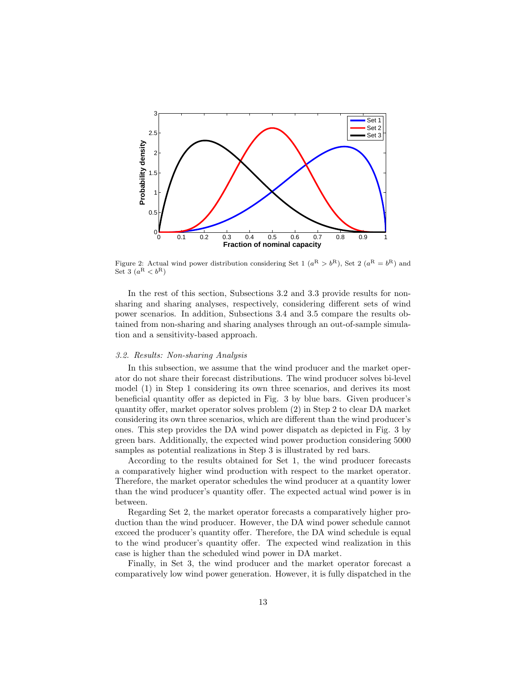

Figure 2: Actual wind power distribution considering Set 1  $(a^R > b^R)$ , Set 2  $(a^R = b^R)$  and Set 3  $(a^{\rm R} < b^{\rm R})$ 

In the rest of this section, Subsections 3.2 and 3.3 provide results for nonsharing and sharing analyses, respectively, considering different sets of wind power scenarios. In addition, Subsections 3.4 and 3.5 compare the results obtained from non-sharing and sharing analyses through an out-of-sample simulation and a sensitivity-based approach.

## 3.2. Results: Non-sharing Analysis

In this subsection, we assume that the wind producer and the market operator do not share their forecast distributions. The wind producer solves bi-level model (1) in Step 1 considering its own three scenarios, and derives its most beneficial quantity offer as depicted in Fig. 3 by blue bars. Given producer's quantity offer, market operator solves problem (2) in Step 2 to clear DA market considering its own three scenarios, which are different than the wind producer's ones. This step provides the DA wind power dispatch as depicted in Fig. 3 by green bars. Additionally, the expected wind power production considering 5000 samples as potential realizations in Step 3 is illustrated by red bars.

According to the results obtained for Set 1, the wind producer forecasts a comparatively higher wind production with respect to the market operator. Therefore, the market operator schedules the wind producer at a quantity lower than the wind producer's quantity offer. The expected actual wind power is in between.

Regarding Set 2, the market operator forecasts a comparatively higher production than the wind producer. However, the DA wind power schedule cannot exceed the producer's quantity offer. Therefore, the DA wind schedule is equal to the wind producer's quantity offer. The expected wind realization in this case is higher than the scheduled wind power in DA market.

Finally, in Set 3, the wind producer and the market operator forecast a comparatively low wind power generation. However, it is fully dispatched in the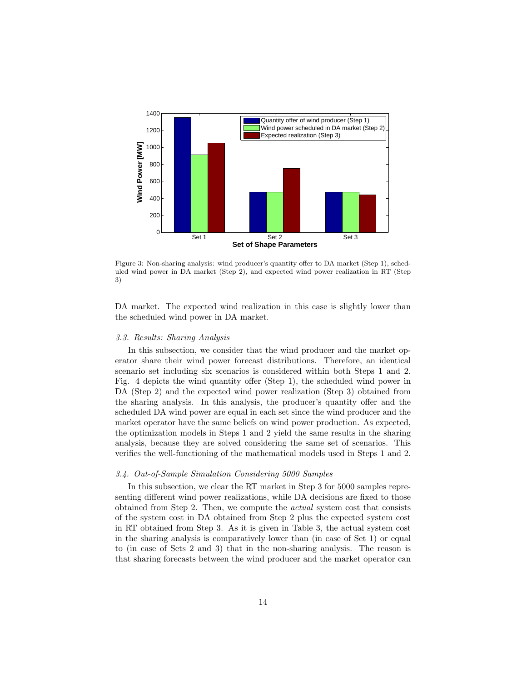

Figure 3: Non-sharing analysis: wind producer's quantity offer to DA market (Step 1), scheduled wind power in DA market (Step 2), and expected wind power realization in RT (Step 3)

DA market. The expected wind realization in this case is slightly lower than the scheduled wind power in DA market.

## 3.3. Results: Sharing Analysis

In this subsection, we consider that the wind producer and the market operator share their wind power forecast distributions. Therefore, an identical scenario set including six scenarios is considered within both Steps 1 and 2. Fig. 4 depicts the wind quantity offer (Step 1), the scheduled wind power in DA (Step 2) and the expected wind power realization (Step 3) obtained from the sharing analysis. In this analysis, the producer's quantity offer and the scheduled DA wind power are equal in each set since the wind producer and the market operator have the same beliefs on wind power production. As expected, the optimization models in Steps 1 and 2 yield the same results in the sharing analysis, because they are solved considering the same set of scenarios. This verifies the well-functioning of the mathematical models used in Steps 1 and 2.

## 3.4. Out-of-Sample Simulation Considering 5000 Samples

In this subsection, we clear the RT market in Step 3 for 5000 samples representing different wind power realizations, while DA decisions are fixed to those obtained from Step 2. Then, we compute the actual system cost that consists of the system cost in DA obtained from Step 2 plus the expected system cost in RT obtained from Step 3. As it is given in Table 3, the actual system cost in the sharing analysis is comparatively lower than (in case of Set 1) or equal to (in case of Sets 2 and 3) that in the non-sharing analysis. The reason is that sharing forecasts between the wind producer and the market operator can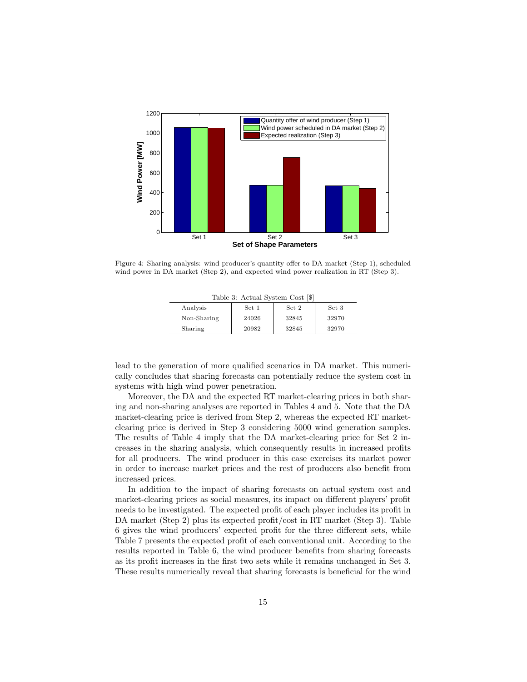

Figure 4: Sharing analysis: wind producer's quantity offer to DA market (Step 1), scheduled wind power in DA market (Step 2), and expected wind power realization in RT (Step 3).

| Table 5. Actual bystem Cost [9] |       |       |       |  |
|---------------------------------|-------|-------|-------|--|
| Analysis                        | Set 3 |       |       |  |
| Non-Sharing                     | 24026 | 32845 | 32970 |  |
| Sharing                         | 20982 | 32845 | 32970 |  |

Table 3: Actual System Cost [\$]

lead to the generation of more qualified scenarios in DA market. This numerically concludes that sharing forecasts can potentially reduce the system cost in systems with high wind power penetration.

Moreover, the DA and the expected RT market-clearing prices in both sharing and non-sharing analyses are reported in Tables 4 and 5. Note that the DA market-clearing price is derived from Step 2, whereas the expected RT marketclearing price is derived in Step 3 considering 5000 wind generation samples. The results of Table 4 imply that the DA market-clearing price for Set 2 increases in the sharing analysis, which consequently results in increased profits for all producers. The wind producer in this case exercises its market power in order to increase market prices and the rest of producers also benefit from increased prices.

In addition to the impact of sharing forecasts on actual system cost and market-clearing prices as social measures, its impact on different players' profit needs to be investigated. The expected profit of each player includes its profit in DA market (Step 2) plus its expected profit/cost in RT market (Step 3). Table 6 gives the wind producers' expected profit for the three different sets, while Table 7 presents the expected profit of each conventional unit. According to the results reported in Table 6, the wind producer benefits from sharing forecasts as its profit increases in the first two sets while it remains unchanged in Set 3. These results numerically reveal that sharing forecasts is beneficial for the wind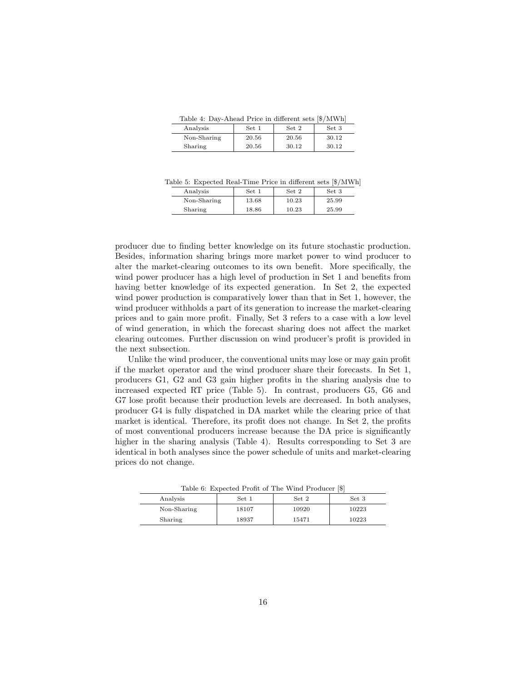Table 4: Day-Ahead Price in different sets [\$/MWh]

| Analysis    | Set 1 | Set 2 | Set 3 |
|-------------|-------|-------|-------|
| Non-Sharing | 20.56 | 20.56 | 30.12 |
| Sharing     | 20.56 | 30.12 | 30.12 |

Table 5: Expected Real-Time Price in different sets [\$/MWh]

| Set 1 | Set 2 | Set 3 |
|-------|-------|-------|
| 13.68 | 10.23 | 25.99 |
| 18.86 | 10.23 | 25.99 |
|       |       |       |

producer due to finding better knowledge on its future stochastic production. Besides, information sharing brings more market power to wind producer to alter the market-clearing outcomes to its own benefit. More specifically, the wind power producer has a high level of production in Set 1 and benefits from having better knowledge of its expected generation. In Set 2, the expected wind power production is comparatively lower than that in Set 1, however, the wind producer withholds a part of its generation to increase the market-clearing prices and to gain more profit. Finally, Set 3 refers to a case with a low level of wind generation, in which the forecast sharing does not affect the market clearing outcomes. Further discussion on wind producer's profit is provided in the next subsection.

Unlike the wind producer, the conventional units may lose or may gain profit if the market operator and the wind producer share their forecasts. In Set 1, producers G1, G2 and G3 gain higher profits in the sharing analysis due to increased expected RT price (Table 5). In contrast, producers G5, G6 and G7 lose profit because their production levels are decreased. In both analyses, producer G4 is fully dispatched in DA market while the clearing price of that market is identical. Therefore, its profit does not change. In Set 2, the profits of most conventional producers increase because the DA price is significantly higher in the sharing analysis (Table 4). Results corresponding to Set 3 are identical in both analyses since the power schedule of units and market-clearing prices do not change.

| Table 6: Expected Profit of The Wind Producer |       |       |       |  |  |
|-----------------------------------------------|-------|-------|-------|--|--|
| Analysis                                      | Set 1 | Set 2 | Set 3 |  |  |
| Non-Sharing                                   | 18107 | 10920 | 10223 |  |  |
| Sharing                                       | 18937 | 15471 | 10223 |  |  |

 $T_{\text{max}}$   $T_{\text{max}}$   $T_{\text{max}}$   $T_{\text{max}}$   $T_{\text{max}}$   $T_{\text{max}}$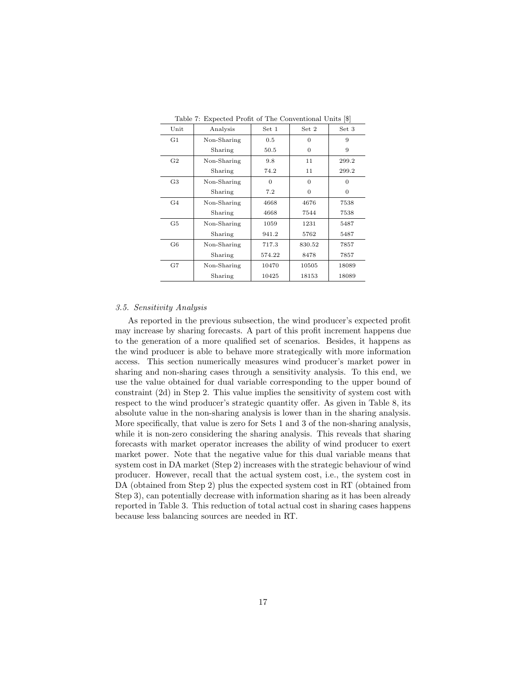| Unit           | Analysis    | Set 1    | Set 2          | Set 3    |
|----------------|-------------|----------|----------------|----------|
| G1             | Non-Sharing | 0.5      | $\Omega$       | 9        |
|                | Sharing     | 50.5     | $\overline{0}$ | 9        |
| G2             | Non-Sharing | 9.8      | 11             | 299.2    |
|                | Sharing     | 74.2     | 11             | 299.2    |
| G3             | Non-Sharing | $\Omega$ | $\Omega$       | 0        |
|                | Sharing     | 7.2      | $\Omega$       | $\Omega$ |
| G <sub>4</sub> | Non-Sharing | 4668     | 4676           | 7538     |
|                | Sharing     | 4668     | 7544           | 7538     |
| G5             | Non-Sharing | 1059     | 1231           | 5487     |
|                | Sharing     | 941.2    | 5762           | 5487     |
| G6             | Non-Sharing | 717.3    | 830.52         | 7857     |
|                | Sharing     | 574.22   | 8478           | 7857     |
| G7             | Non-Sharing | 10470    | 10505          | 18089    |
|                | Sharing     | 10425    | 18153          | 18089    |

Table 7: Expected Profit of The Conventional Units [\$]

### 3.5. Sensitivity Analysis

As reported in the previous subsection, the wind producer's expected profit may increase by sharing forecasts. A part of this profit increment happens due to the generation of a more qualified set of scenarios. Besides, it happens as the wind producer is able to behave more strategically with more information access. This section numerically measures wind producer's market power in sharing and non-sharing cases through a sensitivity analysis. To this end, we use the value obtained for dual variable corresponding to the upper bound of constraint (2d) in Step 2. This value implies the sensitivity of system cost with respect to the wind producer's strategic quantity offer. As given in Table 8, its absolute value in the non-sharing analysis is lower than in the sharing analysis. More specifically, that value is zero for Sets 1 and 3 of the non-sharing analysis, while it is non-zero considering the sharing analysis. This reveals that sharing forecasts with market operator increases the ability of wind producer to exert market power. Note that the negative value for this dual variable means that system cost in DA market (Step 2) increases with the strategic behaviour of wind producer. However, recall that the actual system cost, i.e., the system cost in DA (obtained from Step 2) plus the expected system cost in RT (obtained from Step 3), can potentially decrease with information sharing as it has been already reported in Table 3. This reduction of total actual cost in sharing cases happens because less balancing sources are needed in RT.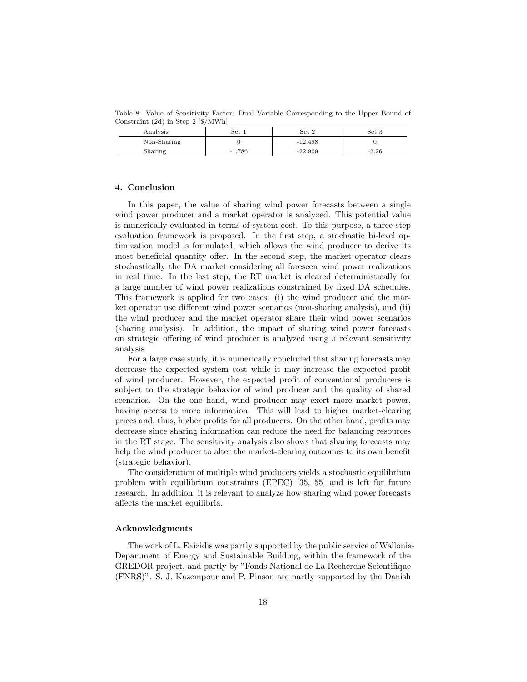Table 8: Value of Sensitivity Factor: Dual Variable Corresponding to the Upper Bound of Constraint  $(2d)$  in Step 2  $[$/MWh]$ 

| Analysis    | Set 1    | Set 2     | Set 3   |
|-------------|----------|-----------|---------|
| Non-Sharing |          | $-12.498$ |         |
| Sharing     | $-1.786$ | $-22.909$ | $-2.26$ |

# 4. Conclusion

In this paper, the value of sharing wind power forecasts between a single wind power producer and a market operator is analyzed. This potential value is numerically evaluated in terms of system cost. To this purpose, a three-step evaluation framework is proposed. In the first step, a stochastic bi-level optimization model is formulated, which allows the wind producer to derive its most beneficial quantity offer. In the second step, the market operator clears stochastically the DA market considering all foreseen wind power realizations in real time. In the last step, the RT market is cleared deterministically for a large number of wind power realizations constrained by fixed DA schedules. This framework is applied for two cases: (i) the wind producer and the market operator use different wind power scenarios (non-sharing analysis), and (ii) the wind producer and the market operator share their wind power scenarios (sharing analysis). In addition, the impact of sharing wind power forecasts on strategic offering of wind producer is analyzed using a relevant sensitivity analysis.

For a large case study, it is numerically concluded that sharing forecasts may decrease the expected system cost while it may increase the expected profit of wind producer. However, the expected profit of conventional producers is subject to the strategic behavior of wind producer and the quality of shared scenarios. On the one hand, wind producer may exert more market power, having access to more information. This will lead to higher market-clearing prices and, thus, higher profits for all producers. On the other hand, profits may decrease since sharing information can reduce the need for balancing resources in the RT stage. The sensitivity analysis also shows that sharing forecasts may help the wind producer to alter the market-clearing outcomes to its own benefit (strategic behavior).

The consideration of multiple wind producers yields a stochastic equilibrium problem with equilibrium constraints (EPEC) [35, 55] and is left for future research. In addition, it is relevant to analyze how sharing wind power forecasts affects the market equilibria.

## Acknowledgments

The work of L. Exizidis was partly supported by the public service of Wallonia-Department of Energy and Sustainable Building, within the framework of the GREDOR project, and partly by "Fonds National de La Recherche Scientifique (FNRS)". S. J. Kazempour and P. Pinson are partly supported by the Danish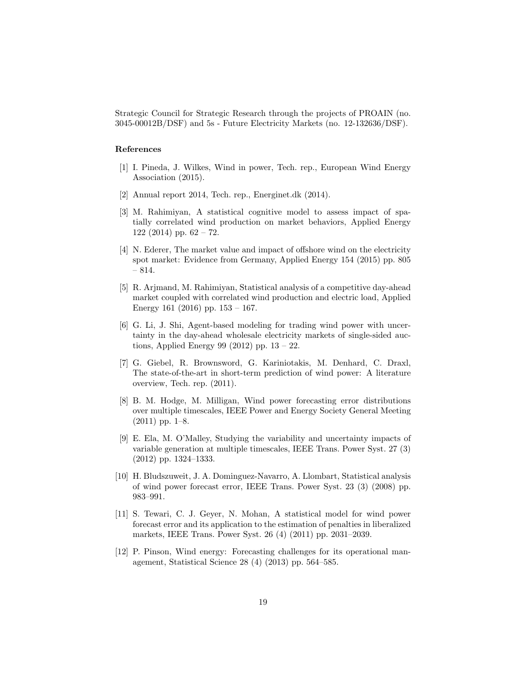Strategic Council for Strategic Research through the projects of PROAIN (no. 3045-00012B/DSF) and 5s - Future Electricity Markets (no. 12-132636/DSF).

#### References

- [1] I. Pineda, J. Wilkes, Wind in power, Tech. rep., European Wind Energy Association (2015).
- [2] Annual report 2014, Tech. rep., Energinet.dk (2014).
- [3] M. Rahimiyan, A statistical cognitive model to assess impact of spatially correlated wind production on market behaviors, Applied Energy 122 (2014) pp. 62 – 72.
- [4] N. Ederer, The market value and impact of offshore wind on the electricity spot market: Evidence from Germany, Applied Energy 154 (2015) pp. 805 – 814.
- [5] R. Arjmand, M. Rahimiyan, Statistical analysis of a competitive day-ahead market coupled with correlated wind production and electric load, Applied Energy 161 (2016) pp.  $153 - 167$ .
- [6] G. Li, J. Shi, Agent-based modeling for trading wind power with uncertainty in the day-ahead wholesale electricity markets of single-sided auctions, Applied Energy 99 (2012) pp.  $13 - 22$ .
- [7] G. Giebel, R. Brownsword, G. Kariniotakis, M. Denhard, C. Draxl, The state-of-the-art in short-term prediction of wind power: A literature overview, Tech. rep. (2011).
- [8] B. M. Hodge, M. Milligan, Wind power forecasting error distributions over multiple timescales, IEEE Power and Energy Society General Meeting (2011) pp. 1–8.
- [9] E. Ela, M. O'Malley, Studying the variability and uncertainty impacts of variable generation at multiple timescales, IEEE Trans. Power Syst. 27 (3) (2012) pp. 1324–1333.
- [10] H. Bludszuweit, J. A. Dominguez-Navarro, A. Llombart, Statistical analysis of wind power forecast error, IEEE Trans. Power Syst. 23 (3) (2008) pp. 983–991.
- [11] S. Tewari, C. J. Geyer, N. Mohan, A statistical model for wind power forecast error and its application to the estimation of penalties in liberalized markets, IEEE Trans. Power Syst. 26 (4) (2011) pp. 2031–2039.
- [12] P. Pinson, Wind energy: Forecasting challenges for its operational management, Statistical Science 28 (4) (2013) pp. 564–585.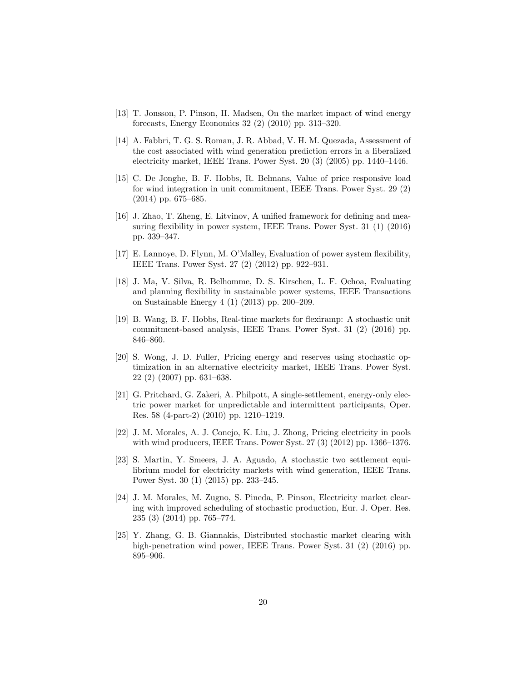- [13] T. Jonsson, P. Pinson, H. Madsen, On the market impact of wind energy forecasts, Energy Economics 32 (2) (2010) pp. 313–320.
- [14] A. Fabbri, T. G. S. Roman, J. R. Abbad, V. H. M. Quezada, Assessment of the cost associated with wind generation prediction errors in a liberalized electricity market, IEEE Trans. Power Syst. 20 (3) (2005) pp. 1440–1446.
- [15] C. De Jonghe, B. F. Hobbs, R. Belmans, Value of price responsive load for wind integration in unit commitment, IEEE Trans. Power Syst. 29 (2) (2014) pp. 675–685.
- [16] J. Zhao, T. Zheng, E. Litvinov, A unified framework for defining and measuring flexibility in power system, IEEE Trans. Power Syst. 31 (1) (2016) pp. 339–347.
- [17] E. Lannoye, D. Flynn, M. O'Malley, Evaluation of power system flexibility, IEEE Trans. Power Syst. 27 (2) (2012) pp. 922–931.
- [18] J. Ma, V. Silva, R. Belhomme, D. S. Kirschen, L. F. Ochoa, Evaluating and planning flexibility in sustainable power systems, IEEE Transactions on Sustainable Energy 4 (1) (2013) pp. 200–209.
- [19] B. Wang, B. F. Hobbs, Real-time markets for flexiramp: A stochastic unit commitment-based analysis, IEEE Trans. Power Syst. 31 (2) (2016) pp. 846–860.
- [20] S. Wong, J. D. Fuller, Pricing energy and reserves using stochastic optimization in an alternative electricity market, IEEE Trans. Power Syst. 22 (2) (2007) pp. 631–638.
- [21] G. Pritchard, G. Zakeri, A. Philpott, A single-settlement, energy-only electric power market for unpredictable and intermittent participants, Oper. Res. 58 (4-part-2) (2010) pp. 1210–1219.
- [22] J. M. Morales, A. J. Conejo, K. Liu, J. Zhong, Pricing electricity in pools with wind producers, IEEE Trans. Power Syst. 27 (3) (2012) pp. 1366–1376.
- [23] S. Martin, Y. Smeers, J. A. Aguado, A stochastic two settlement equilibrium model for electricity markets with wind generation, IEEE Trans. Power Syst. 30 (1) (2015) pp. 233–245.
- [24] J. M. Morales, M. Zugno, S. Pineda, P. Pinson, Electricity market clearing with improved scheduling of stochastic production, Eur. J. Oper. Res. 235 (3) (2014) pp. 765–774.
- [25] Y. Zhang, G. B. Giannakis, Distributed stochastic market clearing with high-penetration wind power, IEEE Trans. Power Syst. 31 (2) (2016) pp. 895–906.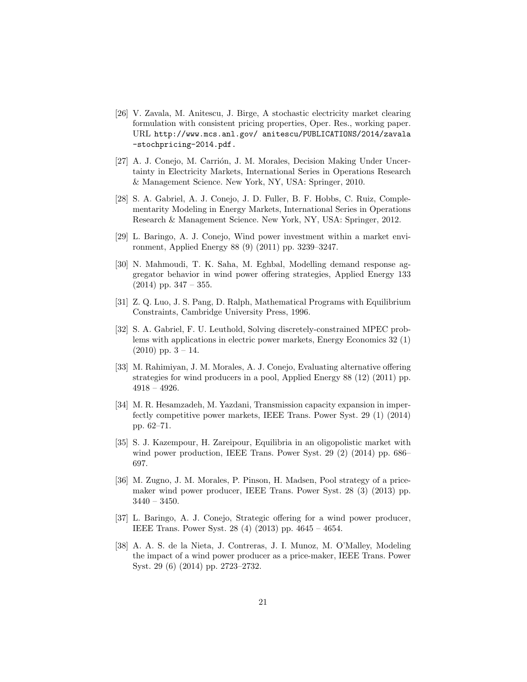- [26] V. Zavala, M. Anitescu, J. Birge, A stochastic electricity market clearing formulation with consistent pricing properties, Oper. Res., working paper. URL http://www.mcs.anl.gov/ anitescu/PUBLICATIONS/2014/zavala -stochpricing-2014.pdf.
- [27] A. J. Conejo, M. Carrión, J. M. Morales, Decision Making Under Uncertainty in Electricity Markets, International Series in Operations Research & Management Science. New York, NY, USA: Springer, 2010.
- [28] S. A. Gabriel, A. J. Conejo, J. D. Fuller, B. F. Hobbs, C. Ruiz, Complementarity Modeling in Energy Markets, International Series in Operations Research & Management Science. New York, NY, USA: Springer, 2012.
- [29] L. Baringo, A. J. Conejo, Wind power investment within a market environment, Applied Energy 88 (9) (2011) pp. 3239–3247.
- [30] N. Mahmoudi, T. K. Saha, M. Eghbal, Modelling demand response aggregator behavior in wind power offering strategies, Applied Energy 133  $(2014)$  pp.  $347 - 355$ .
- [31] Z. Q. Luo, J. S. Pang, D. Ralph, Mathematical Programs with Equilibrium Constraints, Cambridge University Press, 1996.
- [32] S. A. Gabriel, F. U. Leuthold, Solving discretely-constrained MPEC problems with applications in electric power markets, Energy Economics 32 (1)  $(2010)$  pp.  $3 - 14$ .
- [33] M. Rahimiyan, J. M. Morales, A. J. Conejo, Evaluating alternative offering strategies for wind producers in a pool, Applied Energy 88 (12) (2011) pp. 4918 – 4926.
- [34] M. R. Hesamzadeh, M. Yazdani, Transmission capacity expansion in imperfectly competitive power markets, IEEE Trans. Power Syst. 29 (1) (2014) pp. 62–71.
- [35] S. J. Kazempour, H. Zareipour, Equilibria in an oligopolistic market with wind power production, IEEE Trans. Power Syst. 29 (2) (2014) pp. 686– 697.
- [36] M. Zugno, J. M. Morales, P. Pinson, H. Madsen, Pool strategy of a pricemaker wind power producer, IEEE Trans. Power Syst. 28 (3) (2013) pp. 3440 – 3450.
- [37] L. Baringo, A. J. Conejo, Strategic offering for a wind power producer, IEEE Trans. Power Syst. 28 (4) (2013) pp. 4645 – 4654.
- [38] A. A. S. de la Nieta, J. Contreras, J. I. Munoz, M. O'Malley, Modeling the impact of a wind power producer as a price-maker, IEEE Trans. Power Syst. 29 (6) (2014) pp. 2723–2732.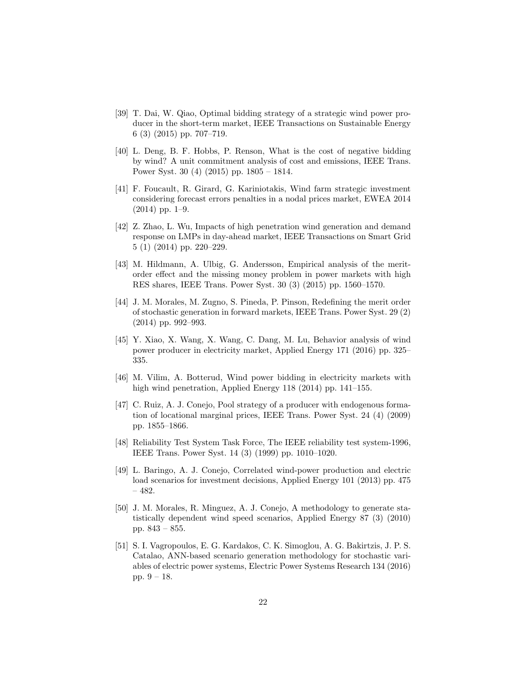- [39] T. Dai, W. Qiao, Optimal bidding strategy of a strategic wind power producer in the short-term market, IEEE Transactions on Sustainable Energy 6 (3) (2015) pp. 707–719.
- [40] L. Deng, B. F. Hobbs, P. Renson, What is the cost of negative bidding by wind? A unit commitment analysis of cost and emissions, IEEE Trans. Power Syst. 30 (4) (2015) pp. 1805 – 1814.
- [41] F. Foucault, R. Girard, G. Kariniotakis, Wind farm strategic investment considering forecast errors penalties in a nodal prices market, EWEA 2014 (2014) pp. 1–9.
- [42] Z. Zhao, L. Wu, Impacts of high penetration wind generation and demand response on LMPs in day-ahead market, IEEE Transactions on Smart Grid 5 (1) (2014) pp. 220–229.
- [43] M. Hildmann, A. Ulbig, G. Andersson, Empirical analysis of the meritorder effect and the missing money problem in power markets with high RES shares, IEEE Trans. Power Syst. 30 (3) (2015) pp. 1560–1570.
- [44] J. M. Morales, M. Zugno, S. Pineda, P. Pinson, Redefining the merit order of stochastic generation in forward markets, IEEE Trans. Power Syst. 29 (2) (2014) pp. 992–993.
- [45] Y. Xiao, X. Wang, X. Wang, C. Dang, M. Lu, Behavior analysis of wind power producer in electricity market, Applied Energy 171 (2016) pp. 325– 335.
- [46] M. Vilim, A. Botterud, Wind power bidding in electricity markets with high wind penetration, Applied Energy 118 (2014) pp. 141–155.
- [47] C. Ruiz, A. J. Conejo, Pool strategy of a producer with endogenous formation of locational marginal prices, IEEE Trans. Power Syst. 24 (4) (2009) pp. 1855–1866.
- [48] Reliability Test System Task Force, The IEEE reliability test system-1996, IEEE Trans. Power Syst. 14 (3) (1999) pp. 1010–1020.
- [49] L. Baringo, A. J. Conejo, Correlated wind-power production and electric load scenarios for investment decisions, Applied Energy 101 (2013) pp. 475 – 482.
- [50] J. M. Morales, R. Minguez, A. J. Conejo, A methodology to generate statistically dependent wind speed scenarios, Applied Energy 87 (3) (2010) pp. 843 – 855.
- [51] S. I. Vagropoulos, E. G. Kardakos, C. K. Simoglou, A. G. Bakirtzis, J. P. S. Catalao, ANN-based scenario generation methodology for stochastic variables of electric power systems, Electric Power Systems Research 134 (2016) pp. 9 – 18.